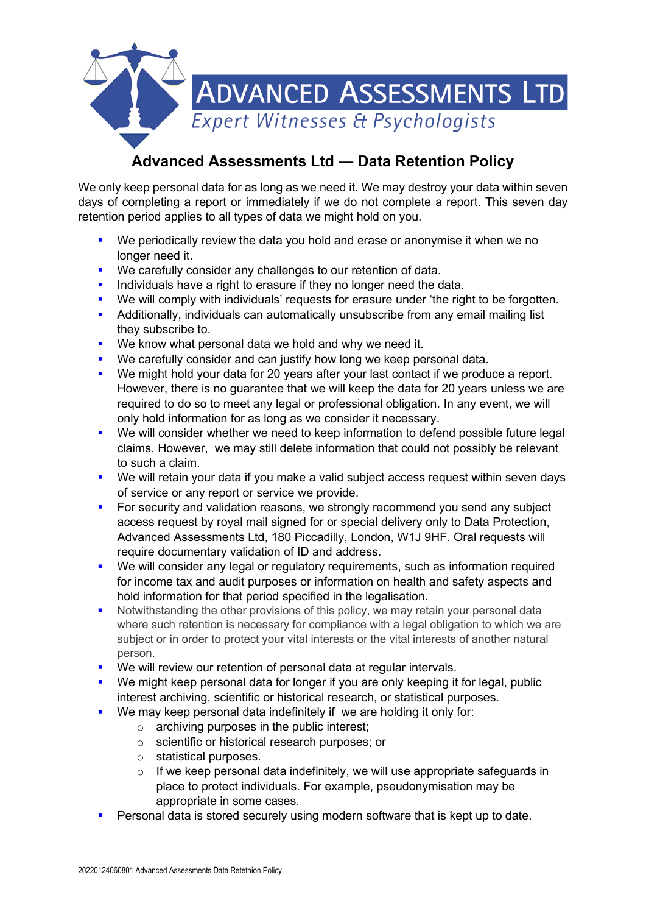

## **Advanced Assessments Ltd ― Data Retention Policy**

We only keep personal data for as long as we need it. We may destroy your data within seven days of completing a report or immediately if we do not complete a report. This seven day retention period applies to all types of data we might hold on you.

- We periodically review the data you hold and erase or anonymise it when we no longer need it.
- **We carefully consider any challenges to our retention of data.**
- Individuals have a right to erasure if they no longer need the data.
- We will comply with individuals' requests for erasure under 'the right to be forgotten.
- **Additionally, individuals can automatically unsubscribe from any email mailing list** they subscribe to.
- **We know what personal data we hold and why we need it.**
- **We carefully consider and can justify how long we keep personal data.**
- We might hold your data for 20 years after your last contact if we produce a report. However, there is no guarantee that we will keep the data for 20 years unless we are required to do so to meet any legal or professional obligation. In any event, we will only hold information for as long as we consider it necessary.
- We will consider whether we need to keep information to defend possible future legal claims. However, we may still delete information that could not possibly be relevant to such a claim.
- We will retain your data if you make a valid subject access request within seven days of service or any report or service we provide.
- For security and validation reasons, we strongly recommend you send any subject access request by royal mail signed for or special delivery only to Data Protection, Advanced Assessments Ltd, 180 Piccadilly, London, W1J 9HF. Oral requests will require documentary validation of ID and address.
- We will consider any legal or regulatory requirements, such as information required for income tax and audit purposes or information on health and safety aspects and hold information for that period specified in the legalisation.
- Notwithstanding the other provisions of this policy, we may retain your personal data where such retention is necessary for compliance with a legal obligation to which we are subject or in order to protect your vital interests or the vital interests of another natural person.
- **We will review our retention of personal data at regular intervals.**
- We might keep personal data for longer if you are only keeping it for legal, public interest archiving, scientific or historical research, or statistical purposes.
- **We may keep personal data indefinitely if we are holding it only for:** 
	- o archiving purposes in the public interest;
	- o scientific or historical research purposes; or
	- o statistical purposes.
	- $\circ$  If we keep personal data indefinitely, we will use appropriate safeguards in place to protect individuals. For example, pseudonymisation may be appropriate in some cases.
- Personal data is stored securely using modern software that is kept up to date.